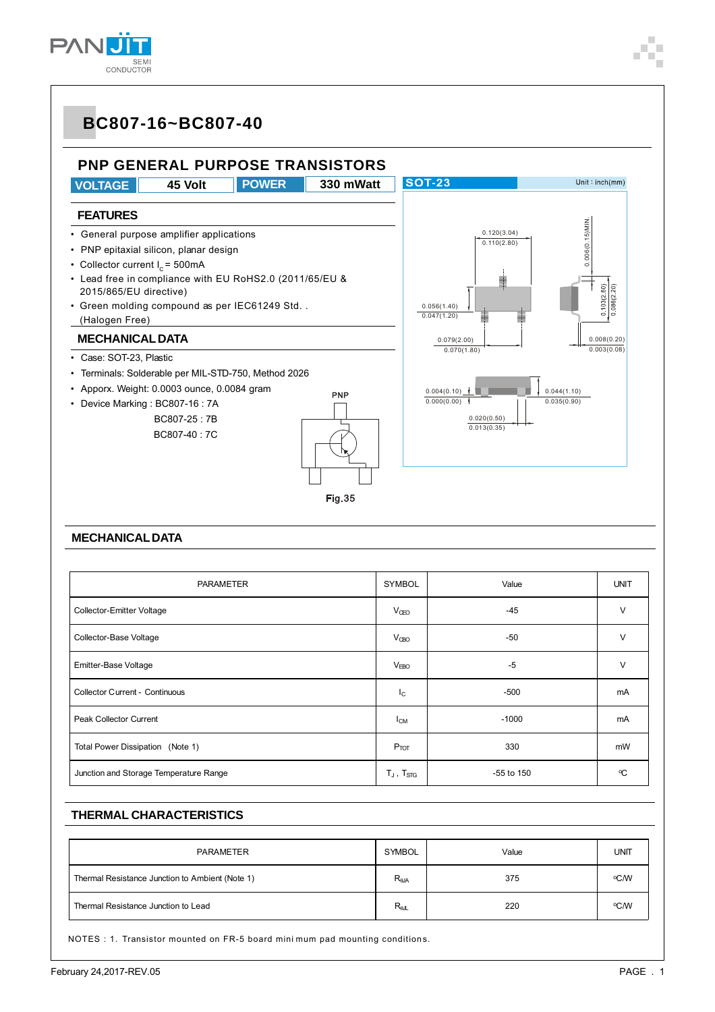### **PNP GENERAL PURPOSE TRANSISTORS**



#### **MECHANICAL DATA**

| PARAMETER                              |                   | Value      | <b>UNIT</b> |
|----------------------------------------|-------------------|------------|-------------|
| <b>Collector-Emitter Voltage</b>       | $V_{\text{QEO}}$  | $-45$      | $\vee$      |
| Collector-Base Voltage                 | $V_{\text{OBO}}$  | $-50$      | $\vee$      |
| Emitter-Base Voltage                   | V <sub>EBO</sub>  | $-5$       | V           |
| Collector Current - Continuous         | $I_{\rm C}$       | $-500$     | mA          |
| Peak Collector Current                 | $I_{CM}$          | $-1000$    | mA          |
| Total Power Dissipation (Note 1)       | $P_{TOT}$         | 330        | mW          |
| Junction and Storage Temperature Range | $T_J$ , $T_{STG}$ | -55 to 150 | ٩C          |

#### **THERMAL CHARACTERISTICS**

| <b>PARAMETER</b>                                | SYMBOL           | Value | UNIT |
|-------------------------------------------------|------------------|-------|------|
| Thermal Resistance Junction to Ambient (Note 1) | $R_{\theta$ JA   | 375   | ℃W   |
| Thermal Resistance Junction to Lead             | $R_{\text{all}}$ | 220   | ∘C⁄W |

NOTES : 1. Transistor mounted on FR-5 board mini mum pad mounting conditions.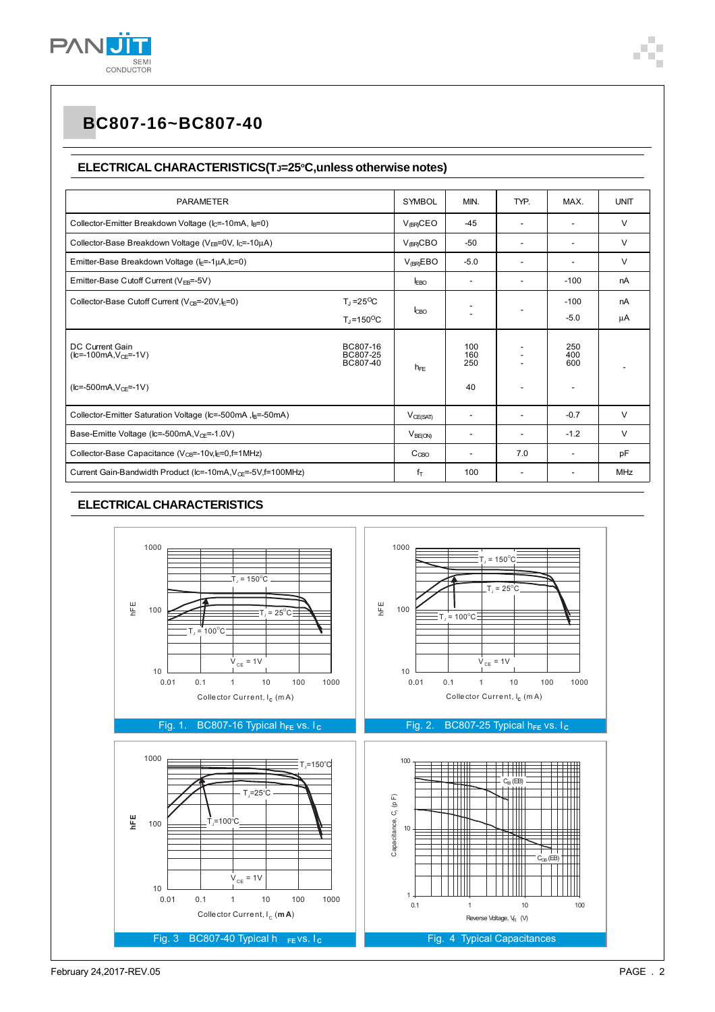

#### ELECTRICAL CHARACTERISTICS(TJ=25°C, unless otherwise notes)

| <b>PARAMETER</b>                                                               |                                              | <b>SYMBOL</b>       | MIN.                     | TYP.                     | MAX.                     | <b>UNIT</b> |
|--------------------------------------------------------------------------------|----------------------------------------------|---------------------|--------------------------|--------------------------|--------------------------|-------------|
| Collector-Emitter Breakdown Voltage (I <sub>C</sub> =-10mA, I <sub>B</sub> =0) |                                              | $V_{\text{BR}}$ CEO | $-45$                    |                          |                          | V           |
| Collector-Base Breakdown Voltage (V <sub>FB</sub> =0V, I <sub>C</sub> =-10µA)  |                                              | $V_{\text{BR}}$ CBO | $-50$                    | ٠                        | $\overline{\phantom{a}}$ | V           |
| Emitter-Base Breakdown Voltage (I <sub>E</sub> =-1µA,Ic=0)                     |                                              | $V_{IBR}EBO$        | $-5.0$                   | $\overline{a}$           |                          | V           |
| Emitter-Base Cutoff Current ( $V_{FB}$ =-5V)                                   |                                              | <b>FRO</b>          |                          |                          | $-100$                   | nA          |
| Collector-Base Cutoff Current ( $V_{CB}$ =-20V, $E = 0$ )                      | $T_1 = 25^{\circ}C$<br>$T_1 = 150^{\circ}$ C | I <sub>CBO</sub>    |                          |                          | $-100$<br>$-5.0$         | nA<br>μA    |
| DC Current Gain<br>$(k = -100mA, VCF = -1V)$                                   | BC807-16<br>BC807-25<br>BC807-40             | $h_{FF}$            | 100<br>160<br>250        |                          | 250<br>400<br>600        |             |
| $(k = -500mA, VCF = -1V)$                                                      |                                              |                     | 40                       |                          | $\overline{\phantom{a}}$ |             |
| Collector-Emitter Saturation Voltage (Ic=-500mA, I <sub>B</sub> =-50mA)        |                                              | $V_{CE(SAT)}$       | $\overline{\phantom{a}}$ | ٠                        | $-0.7$                   | V           |
| Base-Emitte Voltage ( $lc = 500mA, VCF = -1.0V$ )                              |                                              | $V_{BE(ON)}$        |                          | ٠                        | $-1.2$                   | V           |
| Collector-Base Capacitance ( $V_{CB}$ =-10v, $I_F$ =0, f=1MHz)                 |                                              | C <sub>CBO</sub>    |                          | 7.0                      |                          | pF          |
| Current Gain-Bandwidth Product (Ic=-10mA, V <sub>CE</sub> =-5V, f=100MHz)      |                                              | $f_T$               | 100                      | $\overline{\phantom{a}}$ | $\overline{\phantom{a}}$ | <b>MHz</b>  |

#### **ELECTRICAL CHARACTERISTICS**

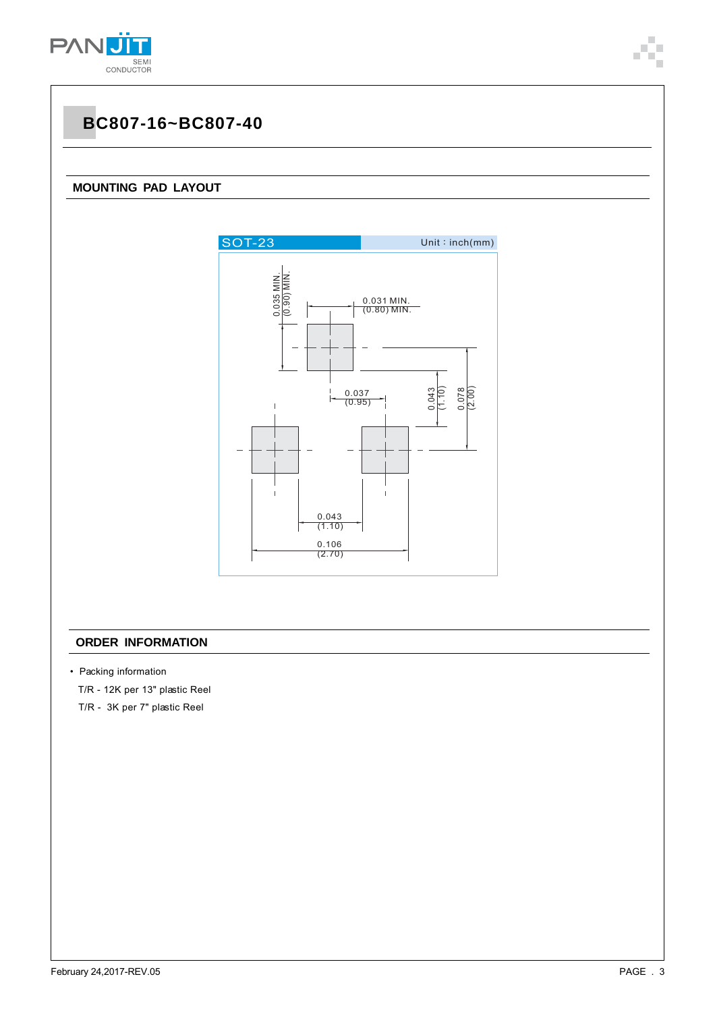

#### **MOUNTING PAD LAYOUT**



#### **ORDER INFORMATION**

- Packing information
	- T/R 12K per 13" plastic Reel
	- T/R 3K per 7" plastic Reel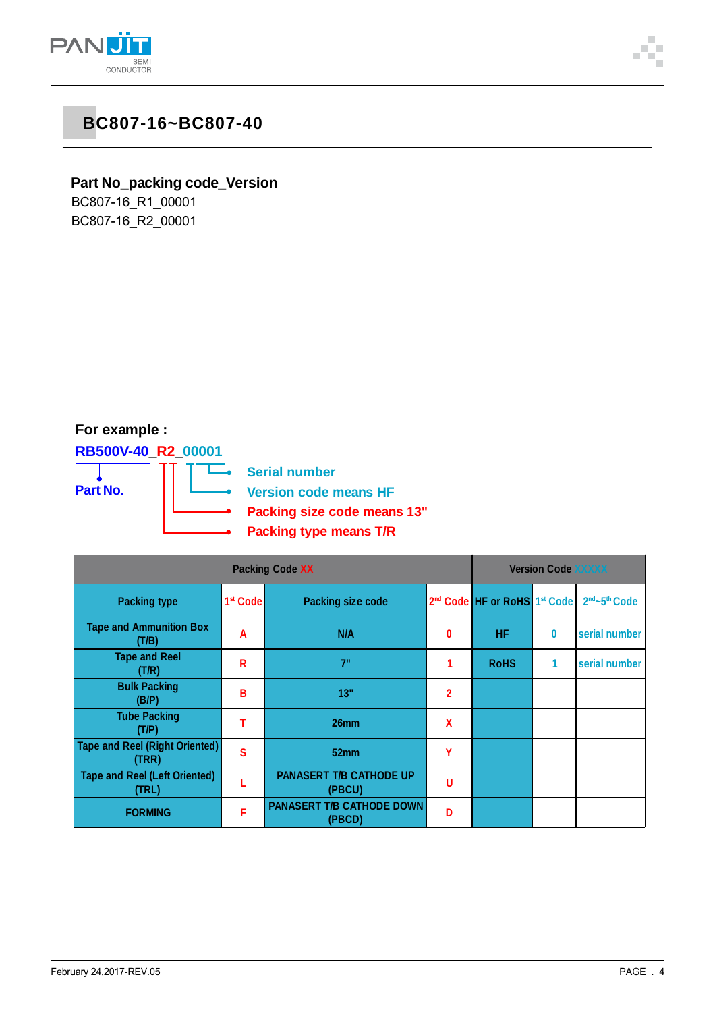

### **Part No\_packing code\_Version**

BC807-16\_R1\_00001 BC807-16\_R2\_00001

### **For example :**

**RB500V-40\_R2\_00001**

**Part No.**

—<br>—● Serial number

**Version code means HF**

- **Packing size code means 13"**
- **Packing type means T/R** ∽

| <b>Packing Code XX</b>                         |                      |                                            |   | <b>Version Code XXXXX</b>                            |   |                                       |
|------------------------------------------------|----------------------|--------------------------------------------|---|------------------------------------------------------|---|---------------------------------------|
| <b>Packing type</b>                            | 1 <sup>st</sup> Code | <b>Packing size code</b>                   |   | 2 <sup>nd</sup> Code HF or RoHS 1 <sup>st</sup> Code |   | 2 <sup>nd</sup> ~5 <sup>th</sup> Code |
| <b>Tape and Ammunition Box</b><br>(T/B)        | A                    | N/A                                        | 0 | <b>HF</b>                                            | 0 | serial number                         |
| <b>Tape and Reel</b><br>(T/R)                  | R                    | 7"                                         |   | <b>RoHS</b>                                          | 1 | serial number                         |
| <b>Bulk Packing</b><br>(B/P)                   | В                    | 13"                                        | 2 |                                                      |   |                                       |
| <b>Tube Packing</b><br>(T/P)                   |                      | 26mm                                       | X |                                                      |   |                                       |
| <b>Tape and Reel (Right Oriented)</b><br>(TRR) | S                    | 52 <sub>mm</sub>                           | Υ |                                                      |   |                                       |
| <b>Tape and Reel (Left Oriented)</b><br>(TRL)  |                      | <b>PANASERT T/B CATHODE UP</b><br>(PBCU)   | U |                                                      |   |                                       |
| <b>FORMING</b>                                 | F                    | <b>PANASERT T/B CATHODE DOWN</b><br>(PBCD) | Ð |                                                      |   |                                       |